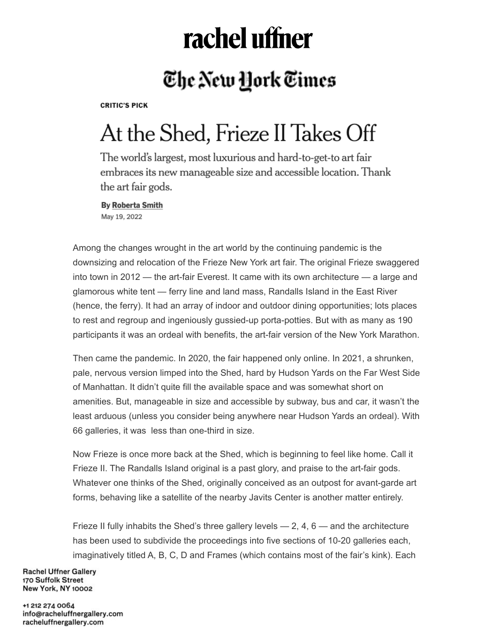# rachel uffner

### The New York Times

**CRITIC'S PICK** 

## At the Shed, Frieze II Takes Off

The world's largest, most luxurious and hard-to-get-to art fair embraces its new manageable size and accessible location. Thank the art fair gods.

**By Roberta Smith** May 19, 2022

Among the changes wrought in the art world by the continuing pandemic is the downsizing and relocation of the Frieze New York art fair. The original Frieze swaggered into town in 2012 — the art-fair Everest. It came with its own architecture — a large and glamorous white tent — ferry line and land mass, Randalls Island in the East River (hence, the ferry). It had an array of indoor and outdoor dining opportunities; lots places to rest and regroup and ingeniously gussied-up porta-potties. But with as many as 190 participants it was an ordeal with benefits, the art-fair version of the New York Marathon.

Then came the pandemic. In 2020, the fair happened only online. In 2021, a shrunken, pale, nervous version limped into the Shed, hard by Hudson Yards on the Far West Side of Manhattan. It didn't quite fill the available space and was somewhat short on amenities. But, manageable in size and accessible by subway, bus and car, it wasn't the least arduous (unless you consider being anywhere near Hudson Yards an ordeal). With 66 galleries, it was less than one-third in size.

Now Frieze is once more back at the Shed, which is beginning to feel like home. Call it Frieze II. The Randalls Island original is a past glory, and praise to the art-fair gods. Whatever one thinks of the Shed, originally conceived as an outpost for avant-garde art forms, behaving like a satellite of the nearby Javits Center is another matter entirely.

Frieze II fully inhabits the Shed's three gallery levels  $-2$ , 4, 6  $-$  and the architecture has been used to subdivide the proceedings into five sections of 10-20 galleries each, imaginatively titled A, B, C, D and Frames (which contains most of the fair's kink). Each

**Rachel Uffner Gallery** 170 Suffolk Street New York, NY 10002

+1 212 274 0064 info@racheluffnergallery.com racheluffnergallery.com